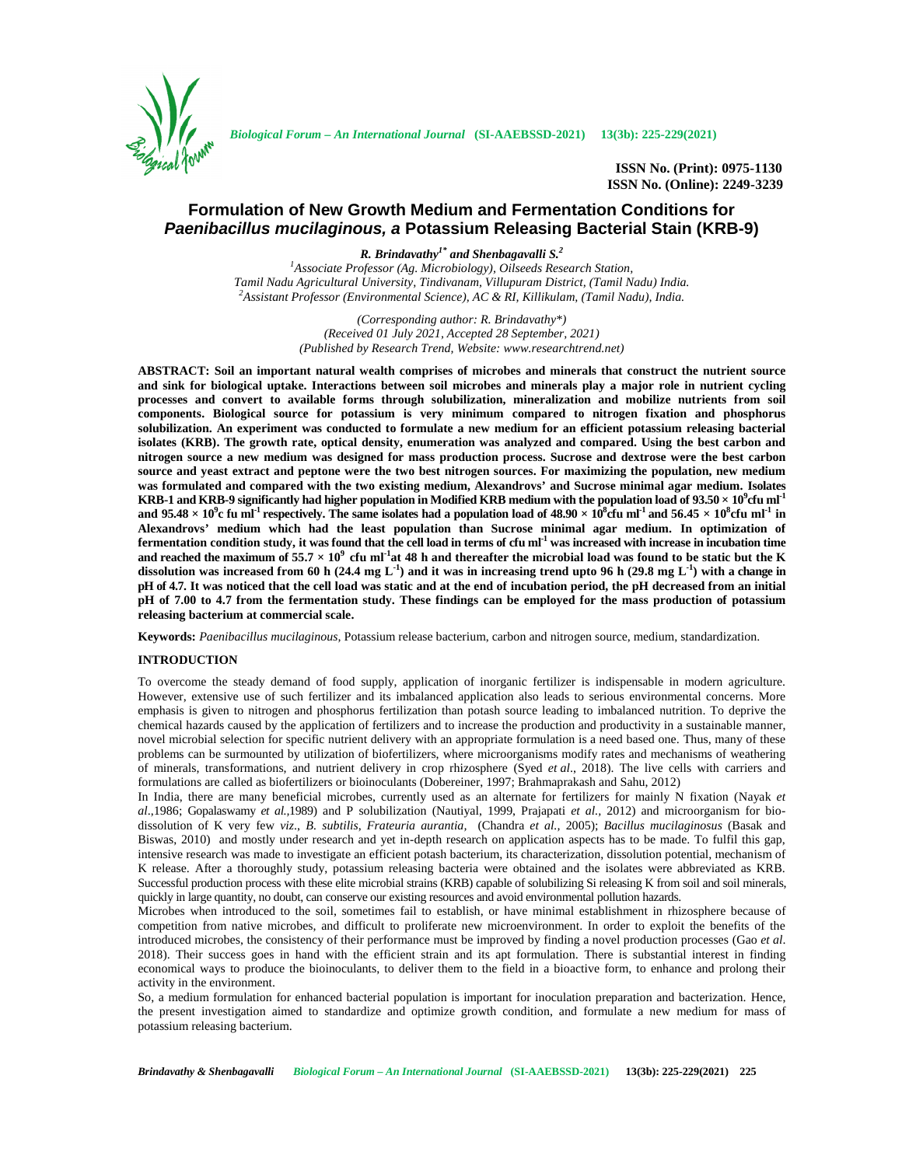

*Biological Forum – An International Journal* **(SI-AAEBSSD-2021) 13(3b): 225-229(2021)**

**ISSN No. (Print): 0975-1130 ISSN No. (Online): 2249-3239**

# **Formulation of New Growth Medium and Fermentation Conditions for** *Paenibacillus mucilaginous, a* **Potassium Releasing Bacterial Stain (KRB-9)**

*R. Brindavathy1\* and Shenbagavalli S.<sup>2</sup>*

*<sup>1</sup>Associate Professor (Ag. Microbiology), Oilseeds Research Station,* Tamil Nadu Agricultural University, Tindivanam, Villupuram District, (Tamil Nadu) India.<br><sup>2</sup>Assistant Professor (Environmental Science), AC & RI, Killikulam, (Tamil Nadu), India.

> *(Corresponding author: R. Brindavathy\*) (Received 01 July 2021, Accepted 28 September, 2021) (Published by Research Trend, Website: <www.researchtrend.net>)*

**ABSTRACT: Soil an important natural wealth comprises of microbes and minerals that construct the nutrient source and sink for biological uptake. Interactions between soil microbes and minerals play a major role in nutrient cycling processes and convert to available forms through solubilization, mineralization and mobilize nutrients from soil components. Biological source for potassium is very minimum compared to nitrogen fixation and phosphorus solubilization. An experiment was conducted to formulate a new medium for an efficient potassium releasing bacterial isolates (KRB). The growth rate, optical density, enumeration was analyzed and compared. Using the best carbon and nitrogen source a new medium was designed for mass production process. Sucrose and dextrose were the best carbon source and yeast extract and peptone were the two best nitrogen sources. For maximizing the population, new medium was formulated and compared with the two existing medium, Alexandrovs' and Sucrose minimal agar medium. Isolates KRB-1 and KRB-9 significantly had higher population in Modified KRB medium with the population load of 93.50 × 10<sup>9</sup>cfu ml-1** and 95.48  $\times$  10 $^9$ c fu mI<sup>-1</sup> respectively. The same isolates had a population load of 48.90  $\times$  10 $^8$ cfu mI<sup>-1</sup> and 56.45  $\times$  10 $^8$ cfu mI<sup>-1</sup> in **Alexandrovs' medium which had the least population than Sucrose minimal agar medium. In optimization of fermentation condition study, it was found that the cell load in terms of cfu ml-1 was increased with increase in incubation time and reached the maximum of**  $55.7 \times 10^9$  **cfu ml<sup>-1</sup> at 48 h and thereafter the microbial load was found to be static but the K dissolution was increased from 60 h (24.4 mg L-1 ) and it was in increasing trend upto 96 h (29.8 mg L-1 ) with a change in pH of 4.7. It was noticed that the cell load was static and at the end of incubation period, the pH decreased from an initial pH of 7.00 to 4.7 from the fermentation study. These findings can be employed for the mass production of potassium releasing bacterium at commercial scale.**

**Keywords:** *Paenibacillus mucilaginous,* Potassium release bacterium, carbon and nitrogen source, medium, standardization.

### **INTRODUCTION**

To overcome the steady demand of food supply, application of inorganic fertilizer is indispensable in modern agriculture. However, extensive use of such fertilizer and its imbalanced application also leads to serious environmental concerns. More emphasis is given to nitrogen and phosphorus fertilization than potash source leading to imbalanced nutrition. To deprive the chemical hazards caused by the application of fertilizers and to increase the production and productivity in a sustainable manner, novel microbial selection for specific nutrient delivery with an appropriate formulation is a need based one. Thus, many of these problems can be surmounted by utilization of biofertilizers, where microorganisms modify rates and mechanisms of weathering of minerals, transformations, and nutrient delivery in crop rhizosphere (Syed *et al*., 2018). The live cells with carriers and formulations are called as biofertilizers or bioinoculants (Dobereiner, 1997; Brahmaprakash and Sahu, 2012)

In India, there are many beneficial microbes, currently used as an alternate for fertilizers for mainly N fixation (Nayak *et al*.,1986; Gopalaswamy *et al.,*1989) and P solubilization (Nautiyal, 1999, Prajapati *et al.,* 2012) and microorganism for bio dissolution of K very few *viz*., *B. subtilis*, *Frateuria aurantia,* (Chandra *et al.,* 2005); *Bacillus mucilaginosus* (Basak and Biswas, 2010) and mostly under research and yet in-depth research on application aspects has to be made. To fulfil this gap, intensive research was made to investigate an efficient potash bacterium, its characterization, dissolution potential, mechanism of K release. After a thoroughly study, potassium releasing bacteria were obtained and the isolates were abbreviated as KRB. Successful production process with these elite microbial strains (KRB) capable of solubilizing Si releasing K from soil and soil minerals, quickly in large quantity, no doubt, can conserve our existing resources and avoid environmental pollution hazards.

Microbes when introduced to the soil, sometimes fail to establish, or have minimal establishment in rhizosphere because of competition from native microbes, and difficult to proliferate new microenvironment. In order to exploit the benefits of the introduced microbes, the consistency of their performance must be improved by finding a novel production processes (Gao *et al*. 2018). Their success goes in hand with the efficient strain and its apt formulation. There is substantial interest in finding economical ways to produce the bioinoculants, to deliver them to the field in a bioactive form, to enhance and prolong their activity in the environment.

So, a medium formulation for enhanced bacterial population is important for inoculation preparation and bacterization. Hence, the present investigation aimed to standardize and optimize growth condition, and formulate a new medium for mass of potassium releasing bacterium.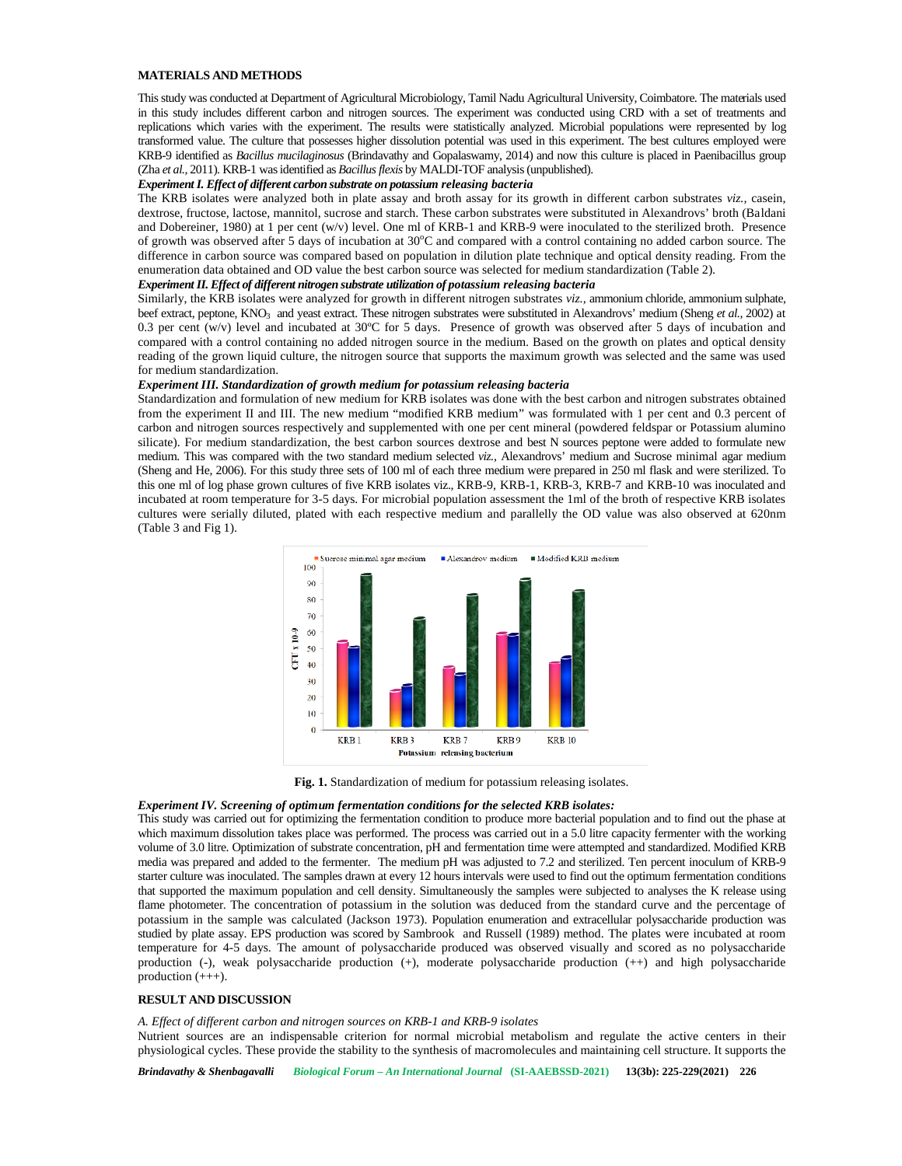# **MATERIALS AND METHODS**

This study was conducted at Department of Agricultural Microbiology, Tamil Nadu Agricultural University, Coimbatore. The materials used in this study includes different carbon and nitrogen sources. The experiment was conducted using CRD with a set of treatments and replications which varies with the experiment. The results were statistically analyzed. Microbial populations were represented by log transformed value. The culture that possesses higher dissolution potential was used in this experiment. The best cultures employed were KRB-9 identified as *Bacillus mucilaginosus* (Brindavathy and Gopalaswamy, 2014) and now this culture is placed in Paenibacillus group (Zha *et al.,* 2011). KRB-1 was identified as *Bacillusflexis* by MALDI-TOF analysis (unpublished).

### *Experiment I. Effect of different carbon substrate on potassium releasing bacteria*

The KRB isolates were analyzed both in plate assay and broth assay for its growth in different carbon substrates *viz.,* casein, dextrose, fructose, lactose, mannitol, sucrose and starch. These carbon substrates were substituted in Alexandrovs' broth (Baldani and Dobereiner, 1980) at 1 per cent (w/v) level. One ml of KRB-1 and KRB-9 were inoculated to the sterilized broth. Presence of growth was observed after 5 days of incubation at  $30^{\circ}$ C and compared with a control containing no added carbon source. The difference in carbon source was compared based on population in dilution plate technique and optical density reading. From the enumeration data obtained and OD value the best carbon source was selected for medium standardization (Table 2).

# *Experiment II. Effect of different nitrogen substrate utilization of potassium releasing bacteria*

Similarly, the KRB isolates were analyzed for growth in different nitrogen substrates *viz.,* ammonium chloride, ammonium sulphate, beef extract, peptone, KNO<sub>3</sub> and yeast extract. These nitrogen substrates were substituted in Alexandrovs' medium (Sheng *et al.*, 2002) at 0.3 per cent (w/v) level and incubated at 30 $^{\circ}$ C for 5 days. Presence of growth was observed after 5 days of incubation and compared with a control containing no added nitrogen source in the medium. Based on the growth on plates and optical density reading of the grown liquid culture, the nitrogen source that supports the maximum growth was selected and the same was used for medium standardization.

#### *Experiment III. Standardization of growth medium for potassium releasing bacteria*

Standardization and formulation of new medium for KRB isolates was done with the best carbon and nitrogen substrates obtained from the experiment II and III. The new medium "modified KRB medium" was formulated with 1 per cent and 0.3 percent of carbon and nitrogen sources respectively and supplemented with one per cent mineral (powdered feldspar or Potassium alumino silicate). For medium standardization, the best carbon sources dextrose and best N sources peptone were added to formulate new medium. This was compared with the two standard medium selected *viz.,* Alexandrovs' medium and Sucrose minimal agar medium (Sheng and He, 2006). For this study three sets of 100 ml of each three medium were prepared in 250 ml flask and were sterilized. To this one ml of log phase grown cultures of five KRB isolates viz., KRB-9, KRB-1, KRB-3, KRB-7 and KRB-10 was inoculated and incubated at room temperature for 3-5 days. For microbial population assessment the 1ml of the broth of respective KRB isolates cultures were serially diluted, plated with each respective medium and parallelly the OD value was also observed at 620nm (Table 3 and Fig 1).



**Fig. 1.** Standardization of medium for potassium releasing isolates.

# *Experiment IV. Screening of optimum fermentation conditions for the selected KRB isolates:*

This study was carried out for optimizing the fermentation condition to produce more bacterial population and to find out the phase at which maximum dissolution takes place was performed. The process was carried out in a 5.0 litre capacity fermenter with the working volume of 3.0 litre. Optimization of substrate concentration, pH and fermentation time were attempted and standardized. Modified KRB media was prepared and added to the fermenter. The medium pH was adjusted to 7.2 and sterilized. Ten percent inoculum of KRB-9 starter culture was inoculated. The samples drawn at every 12 hours intervals were used to find out the optimum fermentation conditions that supported the maximum population and cell density. Simultaneously the samples were subjected to analyses the K release using flame photometer. The concentration of potassium in the solution was deduced from the standard curve and the percentage of potassium in the sample was calculated (Jackson 1973). Population enumeration and extracellular polysaccharide production was studied by plate assay. EPS production was scored by Sambrook and Russell (1989) method. The plates were incubated at room temperature for 4-5 days. The amount of polysaccharide produced was observed visually and scored as no polysaccharide production (-), weak polysaccharide production (+), moderate polysaccharide production (++) and high polysaccharide production (+++).

# **RESULT AND DISCUSSION**

*A. Effect of different carbon and nitrogen sources on KRB-1 and KRB-9 isolates*

Nutrient sources are an indispensable criterion for normal microbial metabolism and regulate the active centers in their physiological cycles. These provide the stability to the synthesis of macromolecules and maintaining cell structure. It supports the

*Brindavathy & Shenbagavalli Biological Forum – An International Journal* **(SI-AAEBSSD-2021) 13(3b): 225-229(2021) 226**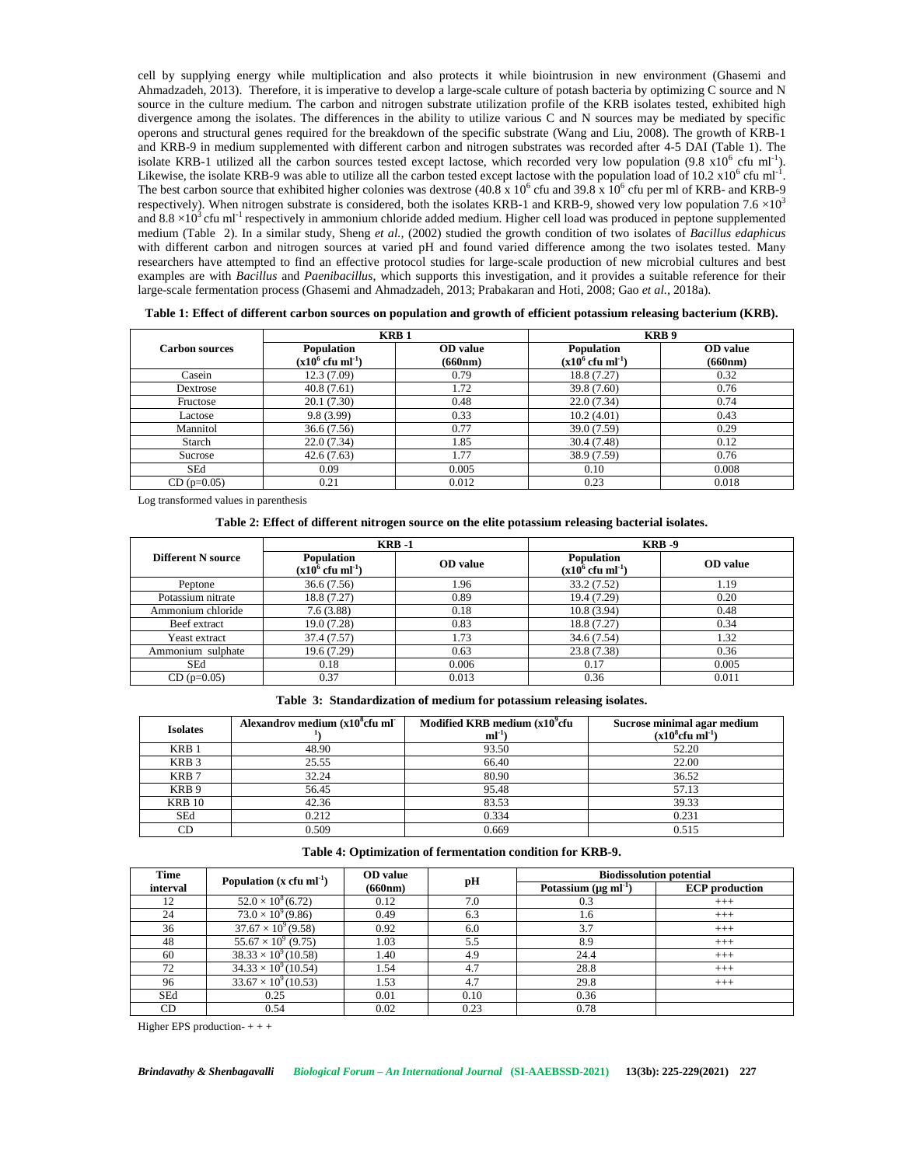cell by supplying energy while multiplication and also protects it while biointrusion in new environment (Ghasemi and Ahmadzadeh, 2013). Therefore, it is imperative to develop a large-scale culture of potash bacteria by optimizing C source and N source in the culture medium. The carbon and nitrogen substrate utilization profile of the KRB isolates tested, exhibited high divergence among the isolates. The differences in the ability to utilize various C and N sources may be mediated by specific operons and structural genes required for the breakdown of the specific substrate (Wang and Liu, 2008). The growth of KRB-1 and KRB-9 in medium supplemented with different carbon and nitrogen substrates was recorded after 4-5 DAI (Table 1). The isolate KRB-1 utilized all the carbon sources tested except lactose, which recorded very low population  $(9.8 \times 10^6 \text{ cm} \text{ m}^{\text{-1}})$ . Likewise, the isolate KRB-9 was able to utilize all the carbon tested except lactose with the population load of 10.2  $x10^6$  cfu ml<sup>-1</sup>. The best carbon source that exhibited higher colonies was dextrose (40.8 x  $10^6$  cfu and 39.8 x  $10^6$  cfu per ml of KRB- and KRB-9 respectively). When nitrogen substrate is considered, both the isolates KRB-1 and KRB-9, showed very low population 7.6  $\times$ 10<sup>3</sup> and  $8.8 \times 10^3$  cfu ml<sup>-1</sup> respectively in ammonium chloride added medium. Higher cell load was produced in peptone supplemented medium (Table 2). In a similar study, Sheng *et al.,* (2002) studied the growth condition of two isolates of *Bacillus edaphicus* with different carbon and nitrogen sources at varied pH and found varied difference among the two isolates tested. Many researchers have attempted to find an effective protocol studies for large-scale production of new microbial cultures and best examples are with *Bacillus* and *Paenibacillus*, which supports this investigation, and it provides a suitable reference for their large-scale fermentation process (Ghasemi and Ahmadzadeh, 2013; Prabakaran and Hoti, 2008; Gao *et al.,* 2018a).

|                       | <b>KRB1</b>                                  |                            | KRB <sub>9</sub>                             |                            |
|-----------------------|----------------------------------------------|----------------------------|----------------------------------------------|----------------------------|
| <b>Carbon sources</b> | Population<br>$(x10^6 \text{ cftu ml}^{-1})$ | <b>OD</b> value<br>(660nm) | Population<br>$(x10^6 \text{ cftu ml}^{-1})$ | <b>OD</b> value<br>(660nm) |
| Casein                | 12.3(7.09)                                   | 0.79                       | 18.8 (7.27)                                  | 0.32                       |
| Dextrose              | 40.8(7.61)                                   | 1.72                       | 39.8 (7.60)                                  | 0.76                       |
| Fructose              | 20.1(7.30)                                   | 0.48                       | 22.0(7.34)                                   | 0.74                       |
| Lactose               | 9.8(3.99)                                    | 0.33                       | 10.2(4.01)                                   | 0.43                       |
| Mannitol              | 36.6(7.56)                                   | 0.77                       | 39.0 (7.59)                                  | 0.29                       |
| Starch                | 22.0(7.34)                                   | 1.85                       | 30.4(7.48)                                   | 0.12                       |
| Sucrose               | 42.6(7.63)                                   | 1.77                       | 38.9 (7.59)                                  | 0.76                       |
| SEd                   | 0.09                                         | 0.005                      | 0.10                                         | 0.008                      |
| $CD$ ( $p=0.05$ )     | 0.21                                         | 0.012                      | 0.23                                         | 0.018                      |

**Table 1: Effect of different carbon sources on population and growth of efficient potassium releasing bacterium (KRB).**

Log transformed values in parenthesis

# **Table 2: Effect of different nitrogen source on the elite potassium releasing bacterial isolates.**

|                    | $KRB -1$                                     |                 | <b>KRB</b> -9                                |                 |
|--------------------|----------------------------------------------|-----------------|----------------------------------------------|-----------------|
| Different N source | Population<br>$(x10^6 \text{ cftu ml}^{-1})$ | <b>OD</b> value | Population<br>$(x10^6 \text{ cftu ml}^{-1})$ | <b>OD</b> value |
| Peptone            | 36.6(7.56)                                   | 1.96            | 33.2 (7.52)                                  | 1.19            |
| Potassium nitrate  | 18.8 (7.27)                                  | 0.89            | 19.4 (7.29)                                  | 0.20            |
| Ammonium chloride  | 7.6(3.88)                                    | 0.18            | 10.8(3.94)                                   | 0.48            |
| Beef extract       | 19.0(7.28)                                   | 0.83            | 18.8 (7.27)                                  | 0.34            |
| Yeast extract      | 37.4 (7.57)                                  | 1.73            | 34.6 (7.54)                                  | 1.32            |
| Ammonium sulphate  | 19.6 (7.29)                                  | 0.63            | 23.8 (7.38)                                  | 0.36            |
| SEd                | 0.18                                         | 0.006           | 0.17                                         | 0.005           |
| $CD$ (p=0.05)      | 0.37                                         | 0.013           | 0.36                                         | 0.011           |

| Table 3: Standardization of medium for potassium releasing isolates. |  |
|----------------------------------------------------------------------|--|
|----------------------------------------------------------------------|--|

| <b>Isolates</b>  | Alexandrov medium (x10 <sup>8</sup> cfu ml <sup>-</sup> | Modified KRB medium $(x10^9$ cfu<br>ml' | Sucrose minimal agar medium<br>$(x10^8$ cfu ml <sup>-1</sup> ) |
|------------------|---------------------------------------------------------|-----------------------------------------|----------------------------------------------------------------|
| KRB <sub>1</sub> | 48.90                                                   | 93.50                                   | 52.20                                                          |
| KRB <sub>3</sub> | 25.55                                                   | 66.40                                   | 22.00                                                          |
| KRB <sub>7</sub> | 32.24                                                   | 80.90                                   | 36.52                                                          |
| KRB <sub>9</sub> | 56.45                                                   | 95.48                                   | 57.13                                                          |
| <b>KRB 10</b>    | 42.36                                                   | 83.53                                   | 39.33                                                          |
| <b>SEd</b>       | 0.212                                                   | 0.334                                   | 0.231                                                          |
| CD               | 0.509                                                   | 0.669                                   | 0.515                                                          |

**Table 4: Optimization of fermentation condition for KRB-9.**

| Time     |                                     |         | OD value | <b>Biodissolution potential</b>     |                       |
|----------|-------------------------------------|---------|----------|-------------------------------------|-----------------------|
| interval | Population $(x \text{ cfu m}^{-1})$ | (660nm) | pH       | Potassium $(\mu g \text{ ml}^{-1})$ | <b>ECP</b> production |
| 12       | $52.0 \times 10^8$ (6.72)           | 0.12    | 7.0      | 0.3                                 | $+++$                 |
| 24       | $73.0 \times 10^{9} (9.86)$         | 0.49    | 6.3      | 1.6                                 | $+++$                 |
| 36       | $37.67 \times 10^{9} (9.58)$        | 0.92    | 6.0      | 3.7                                 | $^{+++}$              |
| 48       | $55.67 \times 10^{9}$ (9.75)        | 1.03    | 5.5      | 8.9                                 | $^{+++}$              |
| 60       | $38.33 \times 10^{9} (10.58)$       | 1.40    | 4.9      | 24.4                                | $+++$                 |
| 72       | $34.33 \times 10^{9} (10.54)$       | 1.54    | 4.7      | 28.8                                | $+++$                 |
| 96       | $33.67 \times 10^{9} (10.53)$       | 1.53    | 4.7      | 29.8                                | $^{+++}$              |
| SEd      | 0.25                                | 0.01    | 0.10     | 0.36                                |                       |
| CD       | 0.54                                | 0.02    | 0.23     | 0.78                                |                       |

Higher EPS production-  $++$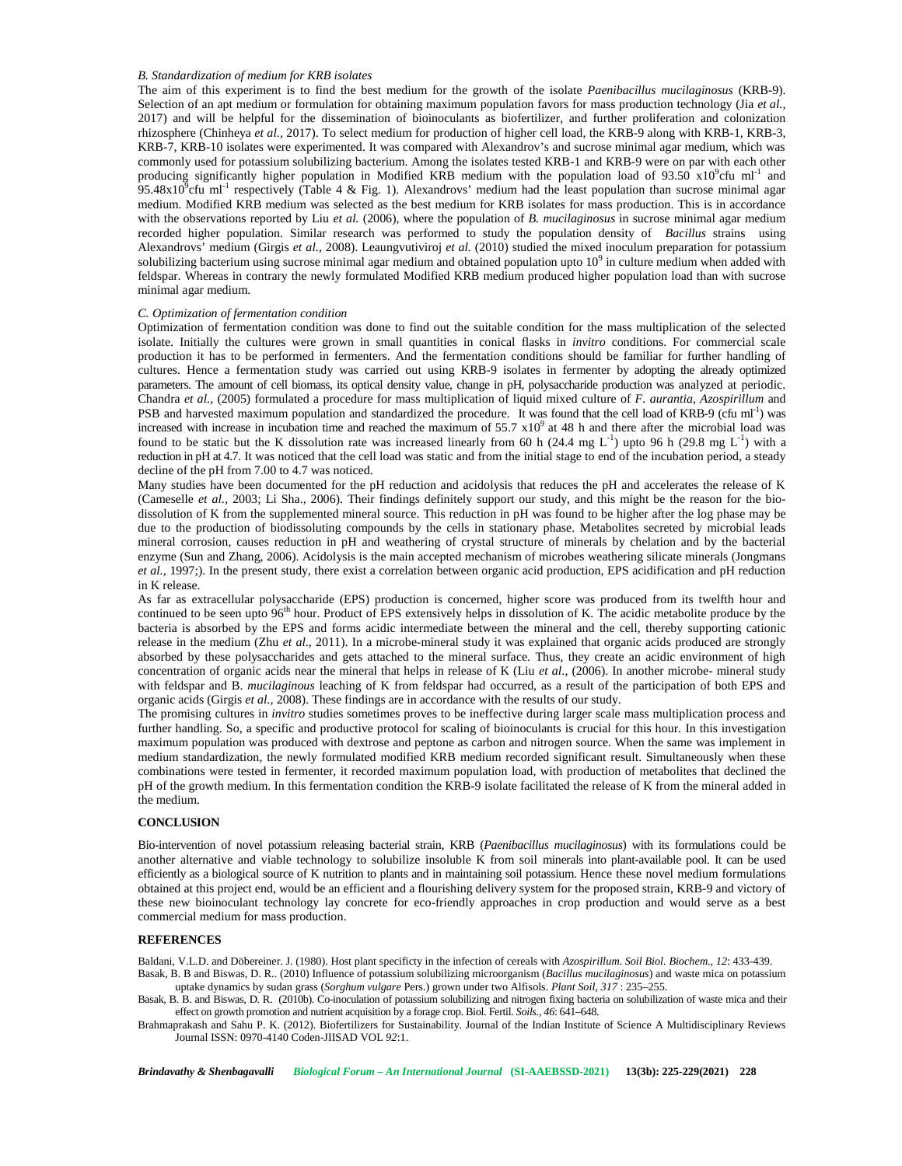#### *B. Standardization of medium for KRB isolates*

The aim of this experiment is to find the best medium for the growth of the isolate *Paenibacillus mucilaginosus* (KRB-9). Selection of an apt medium or formulation for obtaining maximum population favors for mass production technology (Jia *et al.,* 2017) and will be helpful for the dissemination of bioinoculants as biofertilizer, and further proliferation and colonization rhizosphere (Chinheya *et al.,* 2017). To select medium for production of higher cell load, the KRB-9 along with KRB-1, KRB-3, KRB-7, KRB-10 isolates were experimented. It was compared with Alexandrov's and sucrose minimal agar medium, which was commonly used for potassium solubilizing bacterium. Among the isolates tested KRB-1 and KRB-9 were on par with each other producing significantly higher population in Modified KRB medium with the population load of 93.50  $\times10^{9}$ cfu ml<sup>-1</sup> and 95.48x10 $^9$ cfu ml<sup>-1</sup> respectively (Table 4 & Fig. 1). Alexandrovs' medium had the least population than sucrose minimal agar medium. Modified KRB medium was selected as the best medium for KRB isolates for mass production. This is in accordance with the observations reported by Liu *et al.* (2006), where the population of *B. mucilaginosus* in sucrose minimal agar medium recorded higher population. Similar research was performed to study the population density of *Bacillus* strains using Alexandrovs' medium (Girgis*et al.,* 2008). Leaungvutiviroj *et al.* (2010) studied the mixed inoculum preparation for potassium solubilizing bacterium using sucrose minimal agar medium and obtained population upto  $10<sup>9</sup>$  in culture medium when added with feldspar. Whereas in contrary the newly formulated Modified KRB medium produced higher population load than with sucrose minimal agar medium.

### *C. Optimization of fermentation condition*

Optimization of fermentation condition was done to find out the suitable condition for the mass multiplication of the selected isolate. Initially the cultures were grown in small quantities in conical flasks in *invitro* conditions. For commercial scale production it has to be performed in fermenters. And the fermentation conditions should be familiar for further handling of cultures. Hence a fermentation study was carried out using KRB-9 isolates in fermenter by adopting the already optimized parameters. The amount of cell biomass, its optical density value, change in pH, polysaccharide production was analyzed at periodic. Chandra *et al.,* (2005) formulated a procedure for mass multiplication of liquid mixed culture of *F. aurantia*, *Azospirillum* and PSB and harvested maximum population and standardized the procedure. It was found that the cell load of KRB-9 (cfu ml<sup>-1</sup>) was increased with increase in incubation time and reached the maximum of  $55.7 \times 10^9$  at 48 h and there after the microbial load was found to be static but the K dissolution rate was increased linearly from 60 h (24.4 mg  $L^{-1}$ ) upto 96 h (29.8 mg  $L^{-1}$ ) with a reduction in pH at 4.7. It was noticed that the cell load was static and from the initial stage to end of the incubation period, a steady decline of the pH from 7.00 to 4.7 was noticed.

Many studies have been documented for the pH reduction and acidolysis that reduces the pH and accelerates the release of K (Cameselle *et al.,* 2003; Li Sha.*,* 2006). Their findings definitely support our study, and this might be the reason for the bio dissolution of K from the supplemented mineral source. This reduction in pH was found to be higher after the log phase may be due to the production of biodissoluting compounds by the cells in stationary phase. Metabolites secreted by microbial leads mineral corrosion, causes reduction in pH and weathering of crystal structure of minerals by chelation and by the bacterial enzyme (Sun and Zhang, 2006). Acidolysis is the main accepted mechanism of microbes weathering silicate minerals (Jongmans *et al.,* 1997;). In the present study, there exist a correlation between organic acid production, EPS acidification and pH reduction in K release.

As far as extracellular polysaccharide (EPS) production is concerned, higher score was produced from its twelfth hour and continued to be seen upto  $96<sup>th</sup>$  hour. Product of EPS extensively helps in dissolution of K. The acidic metabolite produce by the bacteria is absorbed by the EPS and forms acidic intermediate between the mineral and the cell, thereby supporting cationic release in the medium (Zhu *et al*., 2011). In a microbe-mineral study it was explained that organic acids produced are strongly absorbed by these polysaccharides and gets attached to the mineral surface. Thus, they create an acidic environment of high concentration of organic acids near the mineral that helps in release of K (Liu *et al*., (2006). In another microbe- mineral study with feldspar and B. *mucilaginous* leaching of K from feldspar had occurred, as a result of the participation of both EPS and organic acids (Girgis *et al.,* 2008). These findings are in accordance with the results of our study.

The promising cultures in *invitro* studies sometimes proves to be ineffective during larger scale mass multiplication process and further handling. So, a specific and productive protocol for scaling of bioinoculants is crucial for this hour. In this investigation maximum population was produced with dextrose and peptone as carbon and nitrogen source. When the same was implement in medium standardization, the newly formulated modified KRB medium recorded significant result. Simultaneously when these combinations were tested in fermenter, it recorded maximum population load, with production of metabolites that declined the pH of the growth medium. In this fermentation condition the KRB-9 isolate facilitated the release of K from the mineral added in the medium.

### **CONCLUSION**

Bio-intervention of novel potassium releasing bacterial strain, KRB (*Paenibacillus mucilaginosus*) with its formulations could be another alternative and viable technology to solubilize insoluble K from soil minerals into plant-available pool. It can be used efficiently as a biological source of K nutrition to plants and in maintaining soil potassium. Hence these novel medium formulations obtained at this project end, would be an efficient and a flourishing delivery system for the proposed strain, KRB-9 and victory of these new bioinoculant technology lay concrete for eco-friendly approaches in crop production and would serve as a best commercial medium for mass production.

### **REFERENCES**

Baldani, V.L.D. and Döbereiner. J. (1980). Host plant specificty in the infection of cereals with *Azospirillum*. *Soil Biol. Biochem., 12*: 433-439.

Basak, B. B and Biswas, D. R.. (2010) Influence of potassium solubilizing microorganism (*Bacillus mucilaginosus*) and waste mica on potassium uptake dynamics by sudan grass (*Sorghum vulgare* Pers.) grown under two Alfisols. *Plant Soil, 317* : 235–255.

Basak, B. B. and Biswas, D. R. (2010b). Co-inoculation of potassium solubilizing and nitrogen fixing bacteria on solubilization of waste mica and their effect on growth promotion and nutrient acquisition by a forage crop. Biol. Fertil. *Soils., 46*: 641–648.

Brahmaprakash and Sahu P. K. (2012). Biofertilizers for Sustainability. Journal of the Indian Institute of Science A Multidisciplinary Reviews Journal ISSN: 0970-4140 Coden-JIISAD VOL *92*:1.